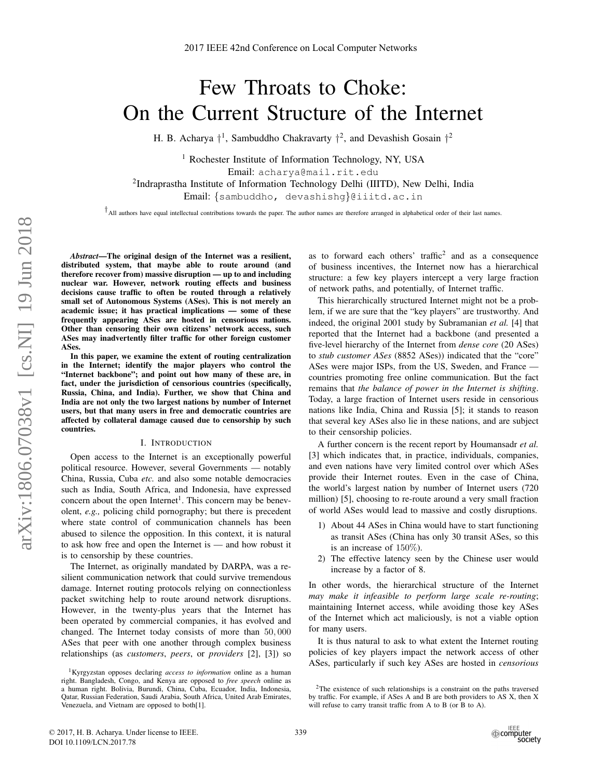# Few Throats to Choke: On the Current Structure of the Internet

H. B. Acharya  $\dagger^1$ , Sambuddho Chakravarty  $\dagger^2$ , and Devashish Gosain  $\dagger^2$ 

<sup>1</sup> Rochester Institute of Information Technology, NY, USA Email: acharya@mail.rit.edu

<sup>2</sup>Indraprastha Institute of Information Technology Delhi (IIITD), New Delhi, India Email: {sambuddho, devashishg}@iiitd.ac.in

 $\dagger$ All authors have equal intellectual contributions towards the paper. The author names are therefore arranged in alphabetical order of their last names.

*Abstract*—The original design of the Internet was a resilient, distributed system, that maybe able to route around (and therefore recover from) massive disruption — up to and including nuclear war. However, network routing effects and business decisions cause traffic to often be routed through a relatively small set of Autonomous Systems (ASes). This is not merely an academic issue; it has practical implications — some of these frequently appearing ASes are hosted in censorious nations. Other than censoring their own citizens' network access, such ASes may inadvertently filter traffic for other foreign customer ASes.

In this paper, we examine the extent of routing centralization in the Internet; identify the major players who control the "Internet backbone"; and point out how many of these are, in fact, under the jurisdiction of censorious countries (specifically, Russia, China, and India). Further, we show that China and India are not only the two largest nations by number of Internet users, but that many users in free and democratic countries are affected by collateral damage caused due to censorship by such countries.

#### I. INTRODUCTION

Open access to the Internet is an exceptionally powerful political resource. However, several Governments — notably China, Russia, Cuba *etc.* and also some notable democracies such as India, South Africa, and Indonesia, have expressed concern about the open Internet<sup>1</sup>. This concern may be benevolent, *e.g.,* policing child pornography; but there is precedent where state control of communication channels has been abused to silence the opposition. In this context, it is natural to ask how free and open the Internet is — and how robust it is to censorship by these countries.

The Internet, as originally mandated by DARPA, was a resilient communication network that could survive tremendous damage. Internet routing protocols relying on connectionless packet switching help to route around network disruptions. However, in the twenty-plus years that the Internet has been operated by commercial companies, it has evolved and changed. The Internet today consists of more than 50, 000 ASes that peer with one another through complex business relationships (as *customers*, *peers*, or *providers* [2], [3]) so as to forward each others' traffic<sup>2</sup> and as a consequence of business incentives, the Internet now has a hierarchical structure: a few key players intercept a very large fraction of network paths, and potentially, of Internet traffic.

This hierarchically structured Internet might not be a problem, if we are sure that the "key players" are trustworthy. And indeed, the original 2001 study by Subramanian *et al.* [4] that reported that the Internet had a backbone (and presented a five-level hierarchy of the Internet from *dense core* (20 ASes) to *stub customer ASes* (8852 ASes)) indicated that the "core" ASes were major ISPs, from the US, Sweden, and France countries promoting free online communication. But the fact remains that *the balance of power in the Internet is shifting*. Today, a large fraction of Internet users reside in censorious nations like India, China and Russia [5]; it stands to reason that several key ASes also lie in these nations, and are subject to their censorship policies.

A further concern is the recent report by Houmansadr *et al.* [3] which indicates that, in practice, individuals, companies, and even nations have very limited control over which ASes provide their Internet routes. Even in the case of China, the world's largest nation by number of Internet users (720 million) [5], choosing to re-route around a very small fraction of world ASes would lead to massive and costly disruptions.

- 1) About 44 ASes in China would have to start functioning as transit ASes (China has only 30 transit ASes, so this is an increase of 150%).
- 2) The effective latency seen by the Chinese user would increase by a factor of 8.

In other words, the hierarchical structure of the Internet *may make it infeasible to perform large scale re-routing*; maintaining Internet access, while avoiding those key ASes of the Internet which act maliciously, is not a viable option for many users.

It is thus natural to ask to what extent the Internet routing policies of key players impact the network access of other ASes, particularly if such key ASes are hosted in *censorious*

<sup>1</sup>Kyrgyzstan opposes declaring *access to information* online as a human right. Bangladesh, Congo, and Kenya are opposed to *free speech* online as a human right. Bolivia, Burundi, China, Cuba, Ecuador, India, Indonesia, Qatar, Russian Federation, Saudi Arabia, South Africa, United Arab Emirates, Venezuela, and Vietnam are opposed to both[1].

<sup>&</sup>lt;sup>2</sup>The existence of such relationships is a constraint on the paths traversed by traffic. For example, if ASes A and B are both providers to AS X, then X will refuse to carry transit traffic from A to B (or B to A).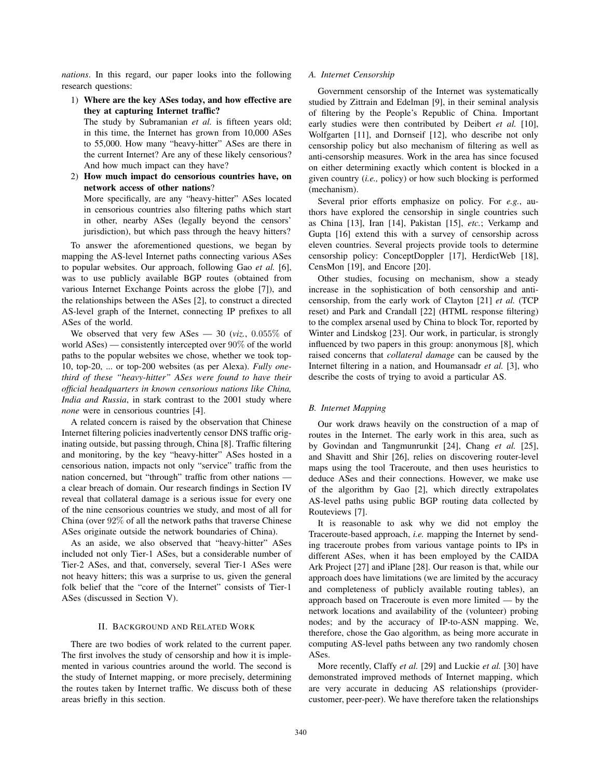*nations*. In this regard, our paper looks into the following research questions:

1) Where are the key ASes today, and how effective are they at capturing Internet traffic?

The study by Subramanian *et al.* is fifteen years old; in this time, the Internet has grown from 10,000 ASes to 55,000. How many "heavy-hitter" ASes are there in the current Internet? Are any of these likely censorious? And how much impact can they have?

2) How much impact do censorious countries have, on network access of other nations? More specifically, are any "heavy-hitter" ASes located

in censorious countries also filtering paths which start in other, nearby ASes (legally beyond the censors' jurisdiction), but which pass through the heavy hitters?

To answer the aforementioned questions, we began by mapping the AS-level Internet paths connecting various ASes to popular websites. Our approach, following Gao *et al.* [6], was to use publicly available BGP routes (obtained from various Internet Exchange Points across the globe [7]), and the relationships between the ASes [2], to construct a directed AS-level graph of the Internet, connecting IP prefixes to all ASes of the world.

We observed that very few ASes — 30 (*viz.*, 0.055% of world ASes) — consistently intercepted over 90% of the world paths to the popular websites we chose, whether we took top-10, top-20, ... or top-200 websites (as per Alexa). *Fully onethird of these "heavy-hitter" ASes were found to have their official headquarters in known censorious nations like China, India and Russia*, in stark contrast to the 2001 study where *none* were in censorious countries [4].

A related concern is raised by the observation that Chinese Internet filtering policies inadvertently censor DNS traffic originating outside, but passing through, China [8]. Traffic filtering and monitoring, by the key "heavy-hitter" ASes hosted in a censorious nation, impacts not only "service" traffic from the nation concerned, but "through" traffic from other nations a clear breach of domain. Our research findings in Section IV reveal that collateral damage is a serious issue for every one of the nine censorious countries we study, and most of all for China (over 92% of all the network paths that traverse Chinese ASes originate outside the network boundaries of China).

As an aside, we also observed that "heavy-hitter" ASes included not only Tier-1 ASes, but a considerable number of Tier-2 ASes, and that, conversely, several Tier-1 ASes were not heavy hitters; this was a surprise to us, given the general folk belief that the "core of the Internet" consists of Tier-1 ASes (discussed in Section V).

# II. BACKGROUND AND RELATED WORK

There are two bodies of work related to the current paper. The first involves the study of censorship and how it is implemented in various countries around the world. The second is the study of Internet mapping, or more precisely, determining the routes taken by Internet traffic. We discuss both of these areas briefly in this section.

# *A. Internet Censorship*

Government censorship of the Internet was systematically studied by Zittrain and Edelman [9], in their seminal analysis of filtering by the People's Republic of China. Important early studies were then contributed by Deibert *et al.* [10], Wolfgarten [11], and Dornseif [12], who describe not only censorship policy but also mechanism of filtering as well as anti-censorship measures. Work in the area has since focused on either determining exactly which content is blocked in a given country (*i.e.,* policy) or how such blocking is performed (mechanism).

Several prior efforts emphasize on policy. For *e.g.*, authors have explored the censorship in single countries such as China [13], Iran [14], Pakistan [15], *etc.*; Verkamp and Gupta [16] extend this with a survey of censorship across eleven countries. Several projects provide tools to determine censorship policy: ConceptDoppler [17], HerdictWeb [18], CensMon [19], and Encore [20].

Other studies, focusing on mechanism, show a steady increase in the sophistication of both censorship and anticensorship, from the early work of Clayton [21] *et al.* (TCP reset) and Park and Crandall [22] (HTML response filtering) to the complex arsenal used by China to block Tor, reported by Winter and Lindskog [23]. Our work, in particular, is strongly influenced by two papers in this group: anonymous [8], which raised concerns that *collateral damage* can be caused by the Internet filtering in a nation, and Houmansadr *et al.* [3], who describe the costs of trying to avoid a particular AS.

#### *B. Internet Mapping*

Our work draws heavily on the construction of a map of routes in the Internet. The early work in this area, such as by Govindan and Tangmunrunkit [24], Chang *et al.* [25], and Shavitt and Shir [26], relies on discovering router-level maps using the tool Traceroute, and then uses heuristics to deduce ASes and their connections. However, we make use of the algorithm by Gao [2], which directly extrapolates AS-level paths using public BGP routing data collected by Routeviews [7].

It is reasonable to ask why we did not employ the Traceroute-based approach, *i.e.* mapping the Internet by sending traceroute probes from various vantage points to IPs in different ASes, when it has been employed by the CAIDA Ark Project [27] and iPlane [28]. Our reason is that, while our approach does have limitations (we are limited by the accuracy and completeness of publicly available routing tables), an approach based on Traceroute is even more limited — by the network locations and availability of the (volunteer) probing nodes; and by the accuracy of IP-to-ASN mapping. We, therefore, chose the Gao algorithm, as being more accurate in computing AS-level paths between any two randomly chosen ASes.

More recently, Claffy *et al.* [29] and Luckie *et al.* [30] have demonstrated improved methods of Internet mapping, which are very accurate in deducing AS relationships (providercustomer, peer-peer). We have therefore taken the relationships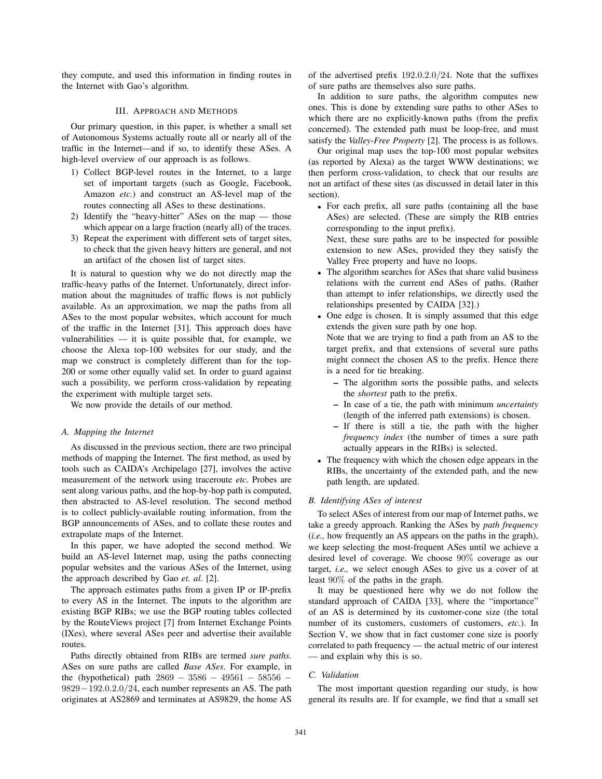they compute, and used this information in finding routes in the Internet with Gao's algorithm.

#### III. APPROACH AND METHODS

Our primary question, in this paper, is whether a small set of Autonomous Systems actually route all or nearly all of the traffic in the Internet—and if so, to identify these ASes. A high-level overview of our approach is as follows.

- 1) Collect BGP-level routes in the Internet, to a large set of important targets (such as Google, Facebook, Amazon *etc.*) and construct an AS-level map of the routes connecting all ASes to these destinations.
- 2) Identify the "heavy-hitter" ASes on the map those which appear on a large fraction (nearly all) of the traces.
- 3) Repeat the experiment with different sets of target sites, to check that the given heavy hitters are general, and not an artifact of the chosen list of target sites.

It is natural to question why we do not directly map the traffic-heavy paths of the Internet. Unfortunately, direct information about the magnitudes of traffic flows is not publicly available. As an approximation, we map the paths from all ASes to the most popular websites, which account for much of the traffic in the Internet [31]. This approach does have vulnerabilities — it is quite possible that, for example, we choose the Alexa top-100 websites for our study, and the map we construct is completely different than for the top-200 or some other equally valid set. In order to guard against such a possibility, we perform cross-validation by repeating the experiment with multiple target sets.

We now provide the details of our method.

# *A. Mapping the Internet*

As discussed in the previous section, there are two principal methods of mapping the Internet. The first method, as used by tools such as CAIDA's Archipelago [27], involves the active measurement of the network using traceroute *etc.* Probes are sent along various paths, and the hop-by-hop path is computed, then abstracted to AS-level resolution. The second method is to collect publicly-available routing information, from the BGP announcements of ASes, and to collate these routes and extrapolate maps of the Internet.

In this paper, we have adopted the second method. We build an AS-level Internet map, using the paths connecting popular websites and the various ASes of the Internet, using the approach described by Gao *et. al.* [2].

The approach estimates paths from a given IP or IP-prefix to every AS in the Internet. The inputs to the algorithm are existing BGP RIBs; we use the BGP routing tables collected by the RouteViews project [7] from Internet Exchange Points (IXes), where several ASes peer and advertise their available routes.

Paths directly obtained from RIBs are termed *sure paths*. ASes on sure paths are called *Base ASes*. For example, in the (hypothetical) path  $2869 - 3586 - 49561 - 58556 -$ 9829−192.0.2.0/24, each number represents an AS. The path originates at AS2869 and terminates at AS9829, the home AS

of the advertised prefix 192.0.2.0/24. Note that the suffixes of sure paths are themselves also sure paths.

In addition to sure paths, the algorithm computes new ones. This is done by extending sure paths to other ASes to which there are no explicitly-known paths (from the prefix concerned). The extended path must be loop-free, and must satisfy the *Valley-Free Property* [2]. The process is as follows.

Our original map uses the top-100 most popular websites (as reported by Alexa) as the target WWW destinations; we then perform cross-validation, to check that our results are not an artifact of these sites (as discussed in detail later in this section).

• For each prefix, all sure paths (containing all the base ASes) are selected. (These are simply the RIB entries corresponding to the input prefix).

Next, these sure paths are to be inspected for possible extension to new ASes, provided they they satisfy the Valley Free property and have no loops.

- The algorithm searches for ASes that share valid business relations with the current end ASes of paths. (Rather than attempt to infer relationships, we directly used the relationships presented by CAIDA [32].)
- One edge is chosen. It is simply assumed that this edge extends the given sure path by one hop. Note that we are trying to find a path from an AS to the target prefix, and that extensions of several sure paths might connect the chosen AS to the prefix. Hence there is a need for tie breaking.
	- The algorithm sorts the possible paths, and selects the *shortest* path to the prefix.
	- In case of a tie, the path with minimum *uncertainty* (length of the inferred path extensions) is chosen.
	- If there is still a tie, the path with the higher *frequency index* (the number of times a sure path actually appears in the RIBs) is selected.
- The frequency with which the chosen edge appears in the RIBs, the uncertainty of the extended path, and the new path length, are updated.

# *B. Identifying ASes of interest*

To select ASes of interest from our map of Internet paths, we take a greedy approach. Ranking the ASes by *path frequency* (*i.e.,* how frequently an AS appears on the paths in the graph), we keep selecting the most-frequent ASes until we achieve a desired level of coverage. We choose 90% coverage as our target, *i.e.,* we select enough ASes to give us a cover of at least 90% of the paths in the graph.

It may be questioned here why we do not follow the standard approach of CAIDA [33], where the "importance" of an AS is determined by its customer-cone size (the total number of its customers, customers of customers, *etc.*). In Section V, we show that in fact customer cone size is poorly correlated to path frequency — the actual metric of our interest — and explain why this is so.

# *C. Validation*

The most important question regarding our study, is how general its results are. If for example, we find that a small set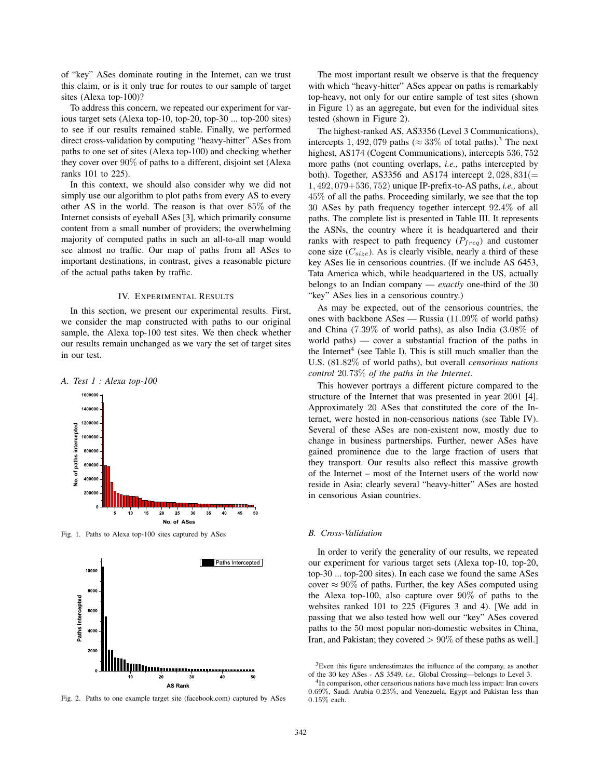of "key" ASes dominate routing in the Internet, can we trust this claim, or is it only true for routes to our sample of target sites (Alexa top-100)?

To address this concern, we repeated our experiment for various target sets (Alexa top-10, top-20, top-30 ... top-200 sites) to see if our results remained stable. Finally, we performed direct cross-validation by computing "heavy-hitter" ASes from paths to one set of sites (Alexa top-100) and checking whether they cover over 90% of paths to a different, disjoint set (Alexa ranks 101 to 225).

In this context, we should also consider why we did not simply use our algorithm to plot paths from every AS to every other AS in the world. The reason is that over 85% of the Internet consists of eyeball ASes [3], which primarily consume content from a small number of providers; the overwhelming majority of computed paths in such an all-to-all map would see almost no traffic. Our map of paths from all ASes to important destinations, in contrast, gives a reasonable picture of the actual paths taken by traffic.

## IV. EXPERIMENTAL RESULTS

In this section, we present our experimental results. First, we consider the map constructed with paths to our original sample, the Alexa top-100 test sites. We then check whether our results remain unchanged as we vary the set of target sites in our test.





Fig. 1. Paths to Alexa top-100 sites captured by ASes



Fig. 2. Paths to one example target site (facebook.com) captured by ASes

The most important result we observe is that the frequency with which "heavy-hitter" ASes appear on paths is remarkably top-heavy, not only for our entire sample of test sites (shown in Figure 1) as an aggregate, but even for the individual sites tested (shown in Figure 2).

The highest-ranked AS, AS3356 (Level 3 Communications), intercepts 1, 492, 079 paths ( $\approx 33\%$  of total paths).<sup>3</sup> The next highest, AS174 (Cogent Communications), intercepts 536, 752 more paths (not counting overlaps, *i.e.,* paths intercepted by both). Together, AS3356 and AS174 intercept  $2,028,831(=$ 1, 492, 079+536, 752) unique IP-prefix-to-AS paths, *i.e.,* about 45% of all the paths. Proceeding similarly, we see that the top 30 ASes by path frequency together intercept 92.4% of all paths. The complete list is presented in Table III. It represents the ASNs, the country where it is headquartered and their ranks with respect to path frequency  $(P_{freq})$  and customer cone size  $(C_{size})$ . As is clearly visible, nearly a third of these key ASes lie in censorious countries. (If we include AS 6453, Tata America which, while headquartered in the US, actually belongs to an Indian company — *exactly* one-third of the 30 "key" ASes lies in a censorious country.)

As may be expected, out of the censorious countries, the ones with backbone ASes — Russia (11.09% of world paths) and China (7.39% of world paths), as also India (3.08% of world paths) — cover a substantial fraction of the paths in the Internet<sup>4</sup> (see Table I). This is still much smaller than the U.S. (81.82% of world paths), but overall *censorious nations control* 20.73% *of the paths in the Internet*.

This however portrays a different picture compared to the structure of the Internet that was presented in year 2001 [4]. Approximately 20 ASes that constituted the core of the Internet, were hosted in non-censorious nations (see Table IV). Several of these ASes are non-existent now, mostly due to change in business partnerships. Further, newer ASes have gained prominence due to the large fraction of users that they transport. Our results also reflect this massive growth of the Internet – most of the Internet users of the world now reside in Asia; clearly several "heavy-hitter" ASes are hosted in censorious Asian countries.

# *B. Cross-Validation*

In order to verify the generality of our results, we repeated our experiment for various target sets (Alexa top-10, top-20, top-30 ... top-200 sites). In each case we found the same ASes cover  $\approx 90\%$  of paths. Further, the key ASes computed using the Alexa top-100, also capture over 90% of paths to the websites ranked 101 to 225 (Figures 3 and 4). [We add in passing that we also tested how well our "key" ASes covered paths to the 50 most popular non-domestic websites in China, Iran, and Pakistan; they covered  $> 90\%$  of these paths as well.]

<sup>&</sup>lt;sup>3</sup>Even this figure underestimates the influence of the company, as another of the 30 key ASes - AS 3549, *i.e.,* Global Crossing—belongs to Level 3.

<sup>&</sup>lt;sup>4</sup>In comparison, other censorious nations have much less impact: Iran covers 0.69%, Saudi Arabia 0.23%, and Venezuela, Egypt and Pakistan less than 0.15% each.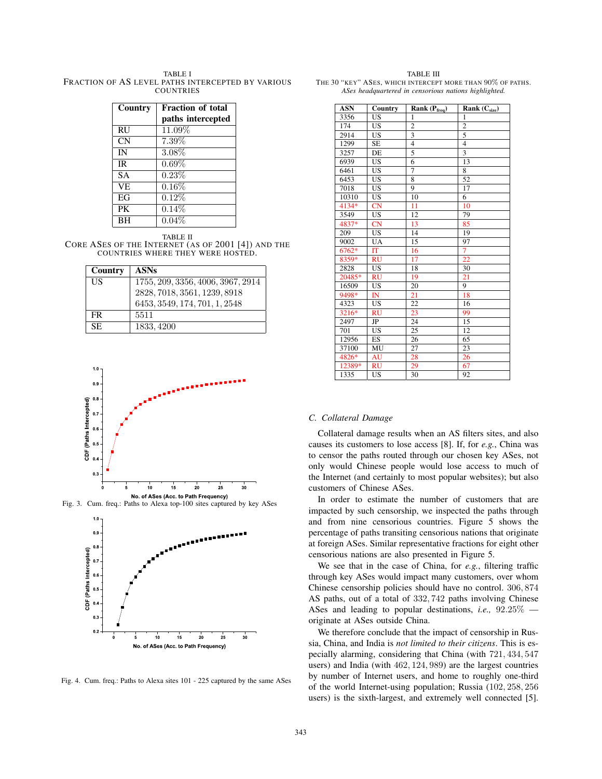TABLE I FRACTION OF AS LEVEL PATHS INTERCEPTED BY VARIOUS COUNTRIES

| Country   | Fraction of total   |
|-----------|---------------------|
|           | paths intercepted   |
| <b>RU</b> | 11.09%              |
| CN        | $7.\overline{39\%}$ |
| IN        | 3.08%               |
| <b>IR</b> | $0.69\%$            |
| <b>SA</b> | $0.2\overline{3\%}$ |
| <b>VE</b> | $0.16\%$            |
| EG        | 0.12%               |
| PK        | 0.14%               |
| <b>BH</b> | $0.04\%$            |

TABLE II

CORE ASES OF THE INTERNET (AS OF 2001 [4]) AND THE COUNTRIES WHERE THEY WERE HOSTED.

| Country | <b>ASNs</b>                       |
|---------|-----------------------------------|
| US      | 1755, 209, 3356, 4006, 3967, 2914 |
|         | 2828, 7018, 3561, 1239, 8918      |
|         | 6453, 3549, 174, 701, 1, 2548     |
| FR      | 5511                              |
| SE.     | 1833, 4200                        |



Fig. 3. Cum. freq.: Paths to Alexa top-100 sites captured by key ASes



Fig. 4. Cum. freq.: Paths to Alexa sites 101 - 225 captured by the same ASes

| TABLE III                                                  |
|------------------------------------------------------------|
| THE 30 "KEY" ASES, WHICH INTERCEPT MORE THAN 90% OF PATHS. |
| ASes headquartered in censorious nations highlighted.      |

| <b>ASN</b> | Country   | $\overline{\text{Rank}(\text{P}_{\text{freq}})}$ | Rank (C <sub>size</sub> ) |
|------------|-----------|--------------------------------------------------|---------------------------|
| 3356       | US        | 1                                                | 1                         |
| 174        | US        | $\overline{c}$                                   | $\overline{2}$            |
| 2914       | <b>US</b> | 3                                                | 5                         |
| 1299       | <b>SE</b> | $\overline{4}$                                   | $\overline{4}$            |
| 3257       | DE        | 5                                                | 3                         |
| 6939       | <b>US</b> | 6                                                | 13                        |
| 6461       | US        | 7                                                | 8                         |
| 6453       | <b>US</b> | 8                                                | 52                        |
| 7018       | <b>US</b> | 9                                                | 17                        |
| 10310      | <b>US</b> | 10                                               | 6                         |
| 4134*      | <b>CN</b> | 11                                               | 10                        |
| 3549       | <b>US</b> | 12                                               | 79                        |
| 4837*      | <b>CN</b> | 13                                               | 85                        |
| 209        | <b>US</b> | 14                                               | 19                        |
| 9002       | <b>UA</b> | 15                                               | 97                        |
| $6762*$    | IT        | 16                                               | 7                         |
| 8359*      | <b>RU</b> | 17                                               | 22                        |
| 2828       | <b>US</b> | 18                                               | 30                        |
| 20485*     | <b>RU</b> | 19                                               | 21                        |
| 16509      | <b>US</b> | 20                                               | 9                         |
| 9498*      | IN        | 21                                               | 18                        |
| 4323       | <b>US</b> | 22                                               | 16                        |
| 3216*      | <b>RU</b> | 23                                               | 99                        |
| 2497       | JP        | 24                                               | 15                        |
| 701        | <b>US</b> | 25                                               | 12                        |
| 12956      | ES        | 26                                               | 65                        |
| 37100      | MU        | 27                                               | 23                        |
| 4826*      | <b>AU</b> | 28                                               | 26                        |
| 12389*     | <b>RU</b> | 29                                               | 67                        |
| 1335       | US        | 30                                               | 92                        |

## *C. Collateral Damage*

Collateral damage results when an AS filters sites, and also causes its customers to lose access [8]. If, for *e.g.*, China was to censor the paths routed through our chosen key ASes, not only would Chinese people would lose access to much of the Internet (and certainly to most popular websites); but also customers of Chinese ASes.

In order to estimate the number of customers that are impacted by such censorship, we inspected the paths through and from nine censorious countries. Figure 5 shows the percentage of paths transiting censorious nations that originate at foreign ASes. Similar representative fractions for eight other censorious nations are also presented in Figure 5.

We see that in the case of China, for *e.g.*, filtering traffic through key ASes would impact many customers, over whom Chinese censorship policies should have no control. 306, 874 AS paths, out of a total of 332, 742 paths involving Chinese ASes and leading to popular destinations, *i.e.,* 92.25% originate at ASes outside China.

We therefore conclude that the impact of censorship in Russia, China, and India is *not limited to their citizens*. This is especially alarming, considering that China (with 721, 434, 547 users) and India (with 462, 124, 989) are the largest countries by number of Internet users, and home to roughly one-third of the world Internet-using population; Russia (102, 258, 256 users) is the sixth-largest, and extremely well connected [5].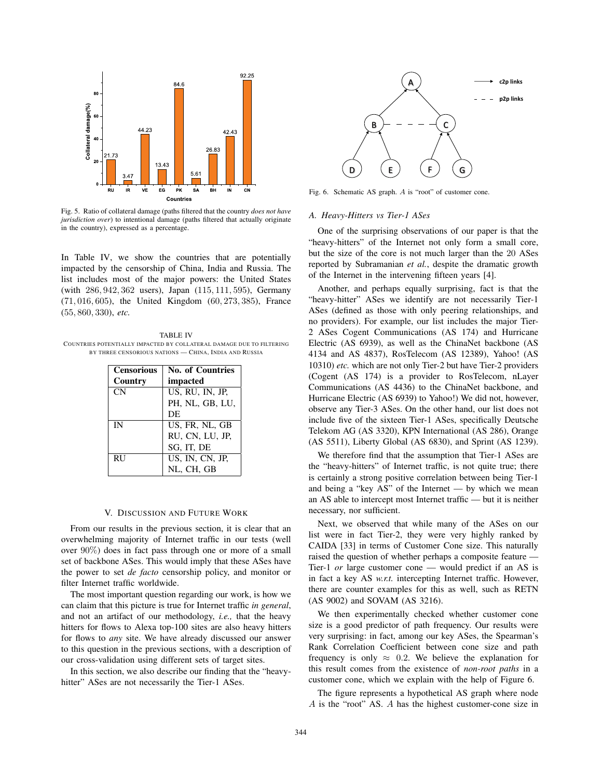

Fig. 5. Ratio of collateral damage (paths filtered that the country *does not have jurisdiction over*) to intentional damage (paths filtered that actually originate in the country), expressed as a percentage.

In Table IV, we show the countries that are potentially impacted by the censorship of China, India and Russia. The list includes most of the major powers: the United States (with 286, 942, 362 users), Japan (115, 111, 595), Germany (71, 016, 605), the United Kingdom (60, 273, 385), France (55, 860, 330), *etc.*

TABLE IV COUNTRIES POTENTIALLY IMPACTED BY COLLATERAL DAMAGE DUE TO FILTERING BY THREE CENSORIOUS NATIONS — CHINA, INDIA AND RUSSIA

| <b>Censorious</b> | <b>No. of Countries</b> |
|-------------------|-------------------------|
| Country           | impacted                |
| CN.               | US, RU, IN, JP,         |
|                   | PH, NL, GB, LU,         |
|                   | DE                      |
| IN                | US, FR, NL, GB          |
|                   | RU, CN, LU, JP,         |
|                   | SG, IT, DE              |
| <b>RU</b>         | US, IN, CN, JP,         |
|                   | NL, CH, GB              |

#### V. DISCUSSION AND FUTURE WORK

From our results in the previous section, it is clear that an overwhelming majority of Internet traffic in our tests (well over 90%) does in fact pass through one or more of a small set of backbone ASes. This would imply that these ASes have the power to set *de facto* censorship policy, and monitor or filter Internet traffic worldwide.

The most important question regarding our work, is how we can claim that this picture is true for Internet traffic *in general*, and not an artifact of our methodology, *i.e.,* that the heavy hitters for flows to Alexa top-100 sites are also heavy hitters for flows to *any* site. We have already discussed our answer to this question in the previous sections, with a description of our cross-validation using different sets of target sites.

In this section, we also describe our finding that the "heavyhitter" ASes are not necessarily the Tier-1 ASes.



Fig. 6. Schematic AS graph. A is "root" of customer cone.

#### *A. Heavy-Hitters vs Tier-1 ASes*

One of the surprising observations of our paper is that the "heavy-hitters" of the Internet not only form a small core, but the size of the core is not much larger than the 20 ASes reported by Subramanian *et al.*, despite the dramatic growth of the Internet in the intervening fifteen years [4].

Another, and perhaps equally surprising, fact is that the "heavy-hitter" ASes we identify are not necessarily Tier-1 ASes (defined as those with only peering relationships, and no providers). For example, our list includes the major Tier-2 ASes Cogent Communications (AS 174) and Hurricane Electric (AS 6939), as well as the ChinaNet backbone (AS 4134 and AS 4837), RosTelecom (AS 12389), Yahoo! (AS 10310) *etc.* which are not only Tier-2 but have Tier-2 providers (Cogent (AS 174) is a provider to RosTelecom, nLayer Communications (AS 4436) to the ChinaNet backbone, and Hurricane Electric (AS 6939) to Yahoo!) We did not, however, observe any Tier-3 ASes. On the other hand, our list does not include five of the sixteen Tier-1 ASes, specifically Deutsche Telekom AG (AS 3320), KPN International (AS 286), Orange (AS 5511), Liberty Global (AS 6830), and Sprint (AS 1239).

We therefore find that the assumption that Tier-1 ASes are the "heavy-hitters" of Internet traffic, is not quite true; there is certainly a strong positive correlation between being Tier-1 and being a "key AS" of the Internet — by which we mean an AS able to intercept most Internet traffic — but it is neither necessary, nor sufficient.

Next, we observed that while many of the ASes on our list were in fact Tier-2, they were very highly ranked by CAIDA [33] in terms of Customer Cone size. This naturally raised the question of whether perhaps a composite feature — Tier-1 *or* large customer cone — would predict if an AS is in fact a key AS *w.r.t.* intercepting Internet traffic. However, there are counter examples for this as well, such as RETN (AS 9002) and SOVAM (AS 3216).

We then experimentally checked whether customer cone size is a good predictor of path frequency. Our results were very surprising: in fact, among our key ASes, the Spearman's Rank Correlation Coefficient between cone size and path frequency is only  $\approx$  0.2. We believe the explanation for this result comes from the existence of *non-root paths* in a customer cone, which we explain with the help of Figure 6.

The figure represents a hypothetical AS graph where node A is the "root" AS. A has the highest customer-cone size in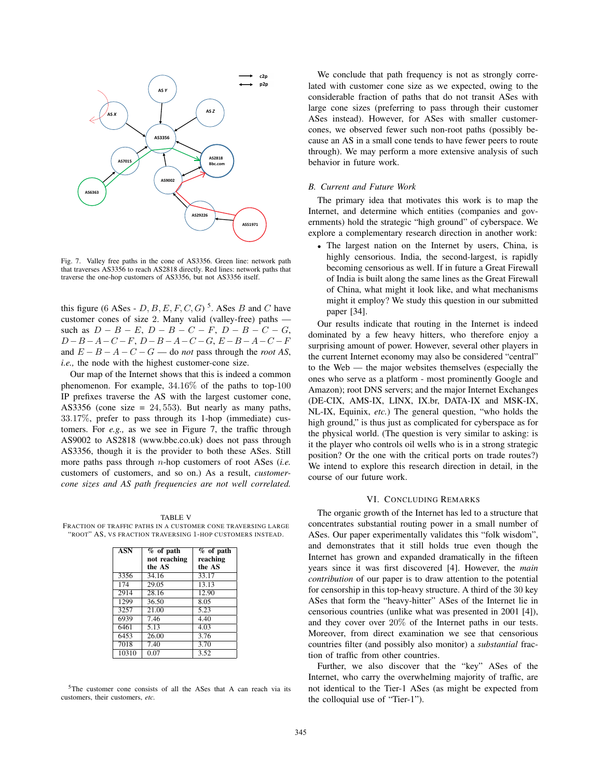

Fig. 7. Valley free paths in the cone of AS3356. Green line: network path that traverses AS3356 to reach AS2818 directly. Red lines: network paths that traverse the one-hop customers of AS3356, but not AS3356 itself.

this figure (6 ASes - D, B, E, F, C, G)<sup>5</sup>. ASes B and C have customer cones of size 2. Many valid (valley-free) paths such as  $D - B - E$ ,  $D - B - C - F$ ,  $D - B - C - G$ ,  $D-B-A-C-F, D-B-A-C-G, E-B-A-C-F$ and  $E - B - A - C - G$  — do *not* pass through the *root* AS, *i.e.,* the node with the highest customer-cone size.

Our map of the Internet shows that this is indeed a common phenomenon. For example, 34.16% of the paths to top-100 IP prefixes traverse the AS with the largest customer cone, AS3356 (cone size  $= 24, 553$ ). But nearly as many paths, 33.17%, prefer to pass through its 1-hop (immediate) customers. For *e.g.,* as we see in Figure 7, the traffic through AS9002 to AS2818 (www.bbc.co.uk) does not pass through AS3356, though it is the provider to both these ASes. Still more paths pass through n-hop customers of root ASes (*i.e.* customers of customers, and so on.) As a result, *customercone sizes and AS path frequencies are not well correlated.*

#### TABLE V

FRACTION OF TRAFFIC PATHS IN A CUSTOMER CONE TRAVERSING LARGE "ROOT" AS, VS FRACTION TRAVERSING 1-HOP CUSTOMERS INSTEAD.

| ASN               | $\overline{\mathcal{C}}$ of path<br>not reaching | $%$ of path<br>reaching |
|-------------------|--------------------------------------------------|-------------------------|
|                   | the AS                                           | the AS                  |
| 3356              | 34.16                                            | 33.17                   |
| 174               | 29.05                                            | 13.13                   |
| $\overline{29}14$ | $28.\overline{16}$                               | 12.90                   |
| 1299              | 36.50                                            | 8.05                    |
| 3257              | 21.00                                            | 5.23                    |
| 6939              | 7.46                                             | 4.40                    |
| 6461              | $\overline{5.13}$                                | 4.03                    |
| 6453              | 26.00                                            | 3.76                    |
| 7018              | 7.40                                             | 3.70                    |
| 10310             | 0.07                                             | 3.52                    |

5The customer cone consists of all the ASes that A can reach via its customers, their customers, *etc.*

We conclude that path frequency is not as strongly correlated with customer cone size as we expected, owing to the considerable fraction of paths that do not transit ASes with large cone sizes (preferring to pass through their customer ASes instead). However, for ASes with smaller customercones, we observed fewer such non-root paths (possibly because an AS in a small cone tends to have fewer peers to route through). We may perform a more extensive analysis of such behavior in future work.

#### *B. Current and Future Work*

The primary idea that motivates this work is to map the Internet, and determine which entities (companies and governments) hold the strategic "high ground" of cyberspace. We explore a complementary research direction in another work:

• The largest nation on the Internet by users, China, is highly censorious. India, the second-largest, is rapidly becoming censorious as well. If in future a Great Firewall of India is built along the same lines as the Great Firewall of China, what might it look like, and what mechanisms might it employ? We study this question in our submitted paper [34].

Our results indicate that routing in the Internet is indeed dominated by a few heavy hitters, who therefore enjoy a surprising amount of power. However, several other players in the current Internet economy may also be considered "central" to the Web — the major websites themselves (especially the ones who serve as a platform - most prominently Google and Amazon); root DNS servers; and the major Internet Exchanges (DE-CIX, AMS-IX, LINX, IX.br, DATA-IX and MSK-IX, NL-IX, Equinix, *etc.*) The general question, "who holds the high ground," is thus just as complicated for cyberspace as for the physical world. (The question is very similar to asking: is it the player who controls oil wells who is in a strong strategic position? Or the one with the critical ports on trade routes?) We intend to explore this research direction in detail, in the course of our future work.

#### VI. CONCLUDING REMARKS

The organic growth of the Internet has led to a structure that concentrates substantial routing power in a small number of ASes. Our paper experimentally validates this "folk wisdom", and demonstrates that it still holds true even though the Internet has grown and expanded dramatically in the fifteen years since it was first discovered [4]. However, the *main contribution* of our paper is to draw attention to the potential for censorship in this top-heavy structure. A third of the 30 key ASes that form the "heavy-hitter" ASes of the Internet lie in censorious countries (unlike what was presented in 2001 [4]), and they cover over 20% of the Internet paths in our tests. Moreover, from direct examination we see that censorious countries filter (and possibly also monitor) a *substantial* fraction of traffic from other countries.

Further, we also discover that the "key" ASes of the Internet, who carry the overwhelming majority of traffic, are not identical to the Tier-1 ASes (as might be expected from the colloquial use of "Tier-1").